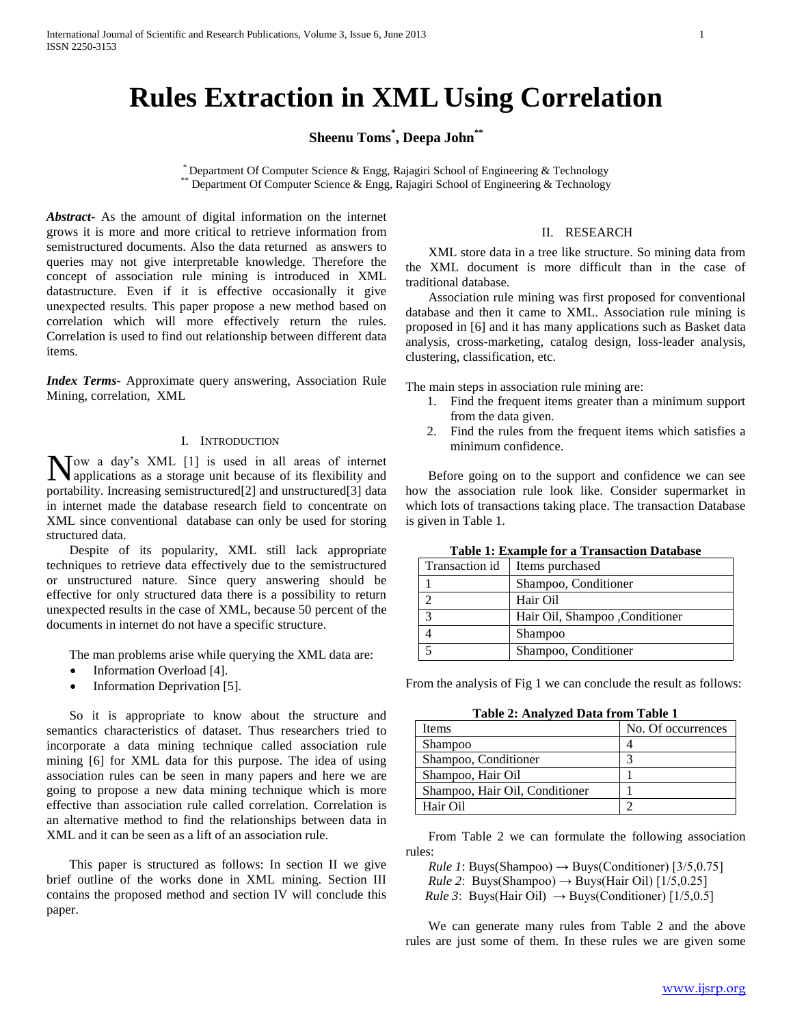# **Rules Extraction in XML Using Correlation**

**Sheenu Toms\* , Deepa John\*\***

\* Department Of Computer Science & Engg, Rajagiri School of Engineering & Technology \*\* Department Of Computer Science & Engg, Rajagiri School of Engineering & Technology

*Abstract***-** As the amount of digital information on the internet grows it is more and more critical to retrieve information from semistructured documents. Also the data returned as answers to queries may not give interpretable knowledge. Therefore the concept of association rule mining is introduced in XML datastructure. Even if it is effective occasionally it give unexpected results. This paper propose a new method based on correlation which will more effectively return the rules. Correlation is used to find out relationship between different data items.

*Index Terms*- Approximate query answering, Association Rule Mining, correlation, XML

## I. INTRODUCTION

ow a day's XML [1] is used in all areas of internet Now a day's XML [1] is used in all areas of internet applications as a storage unit because of its flexibility and portability. Increasing semistructured[2] and unstructured[3] data in internet made the database research field to concentrate on XML since conventional database can only be used for storing structured data.

 Despite of its popularity, XML still lack appropriate techniques to retrieve data effectively due to the semistructured or unstructured nature. Since query answering should be effective for only structured data there is a possibility to return unexpected results in the case of XML, because 50 percent of the documents in internet do not have a specific structure.

The man problems arise while querying the XML data are:

- Information Overload [4].
- Information Deprivation [5].

 So it is appropriate to know about the structure and semantics characteristics of dataset. Thus researchers tried to incorporate a data mining technique called association rule mining [6] for XML data for this purpose. The idea of using association rules can be seen in many papers and here we are going to propose a new data mining technique which is more effective than association rule called correlation. Correlation is an alternative method to find the relationships between data in XML and it can be seen as a lift of an association rule.

 This paper is structured as follows: In section II we give brief outline of the works done in XML mining. Section III contains the proposed method and section IV will conclude this paper.

#### II. RESEARCH

 XML store data in a tree like structure. So mining data from the XML document is more difficult than in the case of traditional database.

 Association rule mining was first proposed for conventional database and then it came to XML. Association rule mining is proposed in [6] and it has many applications such as Basket data analysis, cross-marketing, catalog design, loss-leader analysis, clustering, classification, etc.

The main steps in association rule mining are:

- 1. Find the frequent items greater than a minimum support from the data given.
- 2. Find the rules from the frequent items which satisfies a minimum confidence.

 Before going on to the support and confidence we can see how the association rule look like. Consider supermarket in which lots of transactions taking place. The transaction Database is given in Table 1.

| Tuble 11 Emanuple for a Transaction D'attabase |                                 |  |
|------------------------------------------------|---------------------------------|--|
| Transaction id                                 | Items purchased                 |  |
|                                                | Shampoo, Conditioner            |  |
|                                                | Hair Oil                        |  |
| ◠                                              | Hair Oil, Shampoo , Conditioner |  |
|                                                | <b>Shampoo</b>                  |  |
|                                                | Shampoo, Conditioner            |  |

**Table 1: Example for a Transaction Database**

From the analysis of Fig 1 we can conclude the result as follows:

**Table 2: Analyzed Data from Table 1**

| Items                          | No. Of occurrences |
|--------------------------------|--------------------|
| Shampoo                        |                    |
| Shampoo, Conditioner           |                    |
| Shampoo, Hair Oil              |                    |
| Shampoo, Hair Oil, Conditioner |                    |
| Hair Oil                       |                    |

 From Table 2 we can formulate the following association rules:

*Rule 1*: Buys(Shampoo)  $\rightarrow$  Buys(Conditioner) [3/5,0.75] *Rule 2*: Buys(Shampoo)  $\rightarrow$  Buys(Hair Oil) [1/5,0.25] *Rule 3*: Buys(Hair Oil)  $\rightarrow$  Buys(Conditioner) [1/5,0.5]

 We can generate many rules from Table 2 and the above rules are just some of them. In these rules we are given some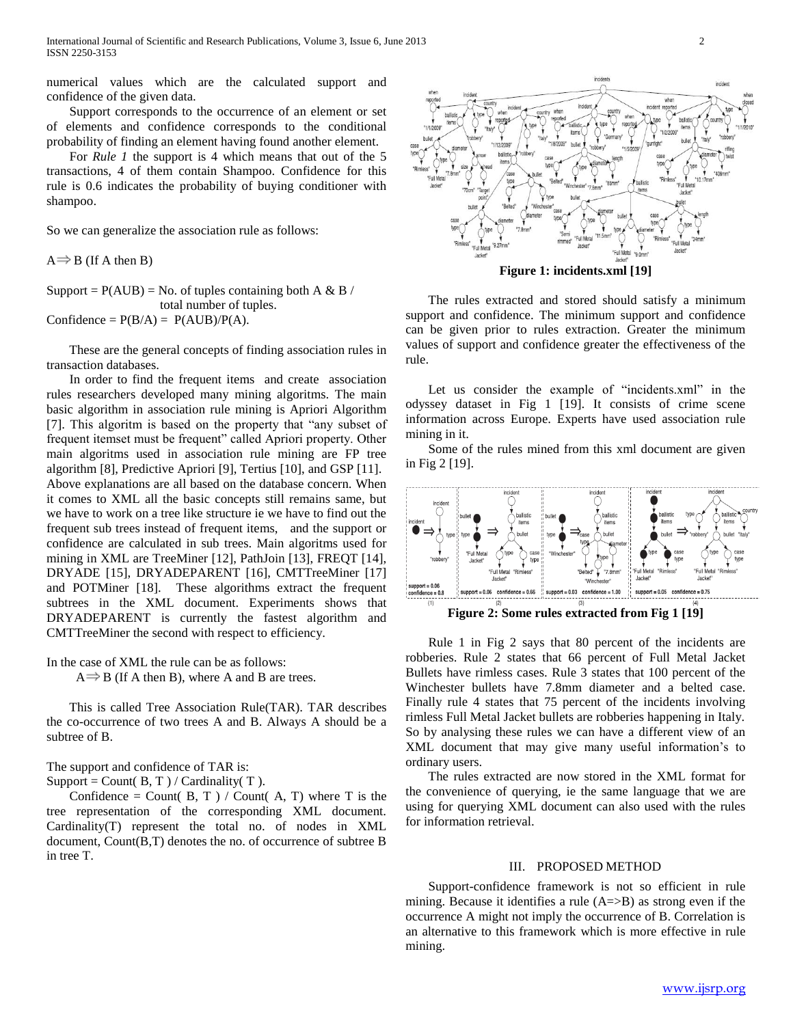numerical values which are the calculated support and confidence of the given data.

 Support corresponds to the occurrence of an element or set of elements and confidence corresponds to the conditional probability of finding an element having found another element.

 For *Rule 1* the support is 4 which means that out of the 5 transactions, 4 of them contain Shampoo. Confidence for this rule is 0.6 indicates the probability of buying conditioner with shampoo.

So we can generalize the association rule as follows:

 $A \Rightarrow B$  (If A then B)

Support =  $P(AUB)$  = No. of tuples containing both A & B / total number of tuples. Confidence =  $P(B/A) = P(AUB)/P(A)$ .

 These are the general concepts of finding association rules in transaction databases.

 In order to find the frequent items and create association rules researchers developed many mining algoritms. The main basic algorithm in association rule mining is Apriori Algorithm [7]. This algoritm is based on the property that "any subset of frequent itemset must be frequent" called Apriori property. Other main algoritms used in association rule mining are FP tree algorithm [8], Predictive Apriori [9], Tertius [10], and GSP [11]. Above explanations are all based on the database concern. When it comes to XML all the basic concepts still remains same, but we have to work on a tree like structure ie we have to find out the frequent sub trees instead of frequent items, and the support or confidence are calculated in sub trees. Main algoritms used for mining in XML are TreeMiner [12], PathJoin [13], FREQT [14], DRYADE [15], DRYADEPARENT [16], CMTTreeMiner [17] and POTMiner [18]. These algorithms extract the frequent subtrees in the XML document. Experiments shows that DRYADEPARENT is currently the fastest algorithm and CMTTreeMiner the second with respect to efficiency.

In the case of XML the rule can be as follows:

 $A \Rightarrow B$  (If A then B), where A and B are trees.

 This is called Tree Association Rule(TAR). TAR describes the co-occurrence of two trees A and B. Always A should be a subtree of B.

The support and confidence of TAR is:

Support = Count( $B, T$ ) / Cardinality( $T$ ).

Confidence = Count( $B, T$ ) / Count( $A, T$ ) where T is the tree representation of the corresponding XML document. Cardinality(T) represent the total no. of nodes in XML document, Count(B,T) denotes the no. of occurrence of subtree B in tree T.



 The rules extracted and stored should satisfy a minimum support and confidence. The minimum support and confidence can be given prior to rules extraction. Greater the minimum values of support and confidence greater the effectiveness of the rule.

 Let us consider the example of "incidents.xml" in the odyssey dataset in Fig 1 [19]. It consists of crime scene information across Europe. Experts have used association rule mining in it.

 Some of the rules mined from this xml document are given in Fig 2 [19].



 Rule 1 in Fig 2 says that 80 percent of the incidents are robberies. Rule 2 states that 66 percent of Full Metal Jacket Bullets have rimless cases. Rule 3 states that 100 percent of the Winchester bullets have 7.8mm diameter and a belted case. Finally rule 4 states that 75 percent of the incidents involving rimless Full Metal Jacket bullets are robberies happening in Italy. So by analysing these rules we can have a different view of an XML document that may give many useful information's to ordinary users.

 The rules extracted are now stored in the XML format for the convenience of querying, ie the same language that we are using for querying XML document can also used with the rules for information retrieval.

### III. PROPOSED METHOD

 Support-confidence framework is not so efficient in rule mining. Because it identifies a rule  $(A \Rightarrow B)$  as strong even if the occurrence A might not imply the occurrence of B. Correlation is an alternative to this framework which is more effective in rule mining.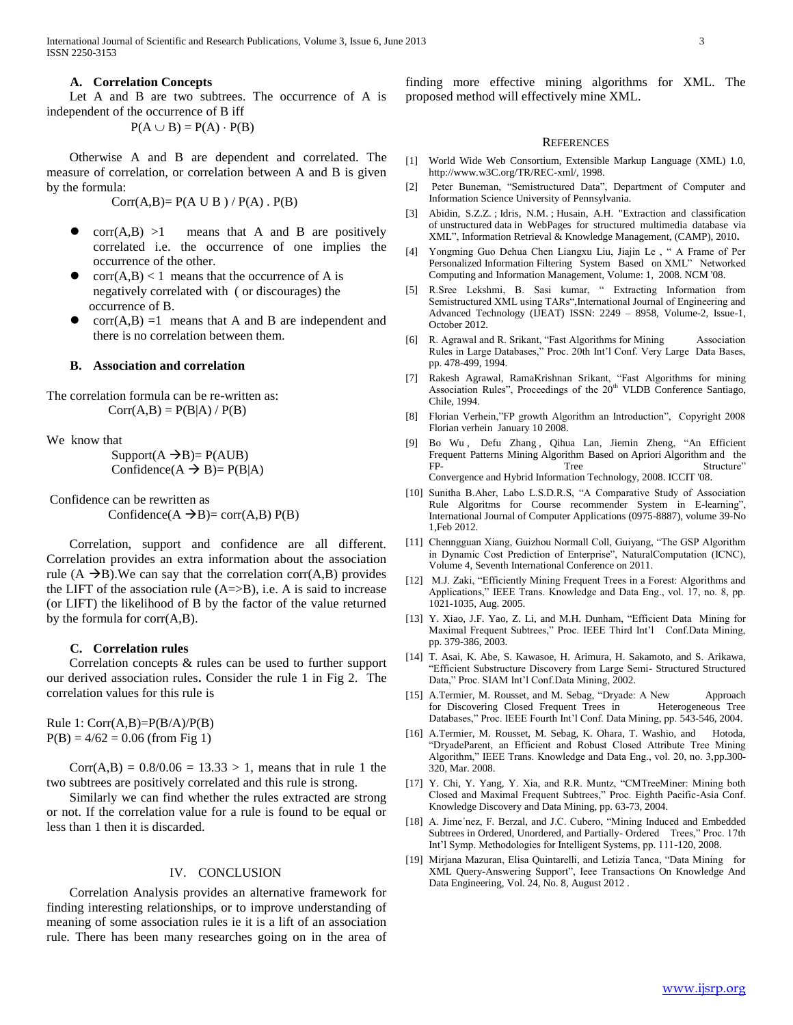International Journal of Scientific and Research Publications, Volume 3, Issue 6, June 2013 3 ISSN 2250-3153

#### **A. Correlation Concepts**

 Let A and B are two subtrees. The occurrence of A is independent of the occurrence of B iff

## $P(A \cup B) = P(A) \cdot P(B)$

 Otherwise A and B are dependent and correlated. The measure of correlation, or correlation between A and B is given by the formula:

 $Corr(A,B)=P(A \cup B) / P(A)$ .  $P(B)$ 

- $corr(A,B) >1$  means that A and B are positively correlated i.e. the occurrence of one implies the occurrence of the other.
- $corr(A,B) < 1$  means that the occurrence of A is negatively correlated with ( or discourages) the occurrence of B.
- $corr(A,B) = 1$  means that A and B are independent and there is no correlation between them.

### **B. Association and correlation**

The correlation formula can be re-written as:  $Corr(A,B) = P(B|A) / P(B)$ 

We know that

 $Support(A \rightarrow B) = P(AUB)$ Confidence( $A \rightarrow B$ )=  $P(B|A)$ 

Confidence can be rewritten as Confidence( $A \rightarrow B$ )= corr( $A,B$ )  $P(B)$ 

 Correlation, support and confidence are all different. Correlation provides an extra information about the association rule  $(A \rightarrow B)$ . We can say that the correlation corr $(A, B)$  provides the LIFT of the association rule  $(A=\geq B)$ , i.e. A is said to increase (or LIFT) the likelihood of B by the factor of the value returned by the formula for corr(A,B).

## **C. Correlation rules**

 Correlation concepts & rules can be used to further support our derived association rules**.** Consider the rule 1 in Fig 2. The correlation values for this rule is

Rule 1:  $Corr(A,B)=P(B/A)/P(B)$  $P(B) = 4/62 = 0.06$  (from Fig 1)

 $Corr(A,B) = 0.8/0.06 = 13.33 > 1$ , means that in rule 1 the two subtrees are positively correlated and this rule is strong.

 Similarly we can find whether the rules extracted are strong or not. If the correlation value for a rule is found to be equal or less than 1 then it is discarded.

#### IV. CONCLUSION

 Correlation Analysis provides an alternative framework for finding interesting relationships, or to improve understanding of meaning of some association rules ie it is a lift of an association rule. There has been many researches going on in the area of finding more effective mining algorithms for XML. The proposed method will effectively mine XML.

#### **REFERENCES**

- [1] World Wide Web Consortium, Extensible Markup Language (XML) 1.0, http://www.w3C.org/TR/REC-xml/, 1998.
- [2] Peter Buneman, "Semistructured Data", Department of Computer and Information Science University of Pennsylvania.
- [3] [Abidin, S.Z.Z.](http://ieeexplore.ieee.org/search/searchresult.jsp?searchWithin=p_Authors:.QT.Abidin,%20S.Z.Z..QT.&searchWithin=p_Author_Ids:37267324300&newsearch=true) ; [Idris, N.M.](http://ieeexplore.ieee.org/search/searchresult.jsp?searchWithin=p_Authors:.QT.Idris,%20N.M..QT.&searchWithin=p_Author_Ids:37411315500&newsearch=true) ; [Husain, A.H.](http://ieeexplore.ieee.org/search/searchresult.jsp?searchWithin=p_Authors:.QT.Husain,%20A.H..QT.&searchWithin=p_Author_Ids:37408511000&newsearch=true) ["Extraction and classification](http://ieeexplore.ieee.org/xpl/articleDetails.jsp?tp=&arnumber=5466948&queryText%3Dunstructured+data)  of unstructured data [in WebPages for structured multimedia database via](http://ieeexplore.ieee.org/xpl/articleDetails.jsp?tp=&arnumber=5466948&queryText%3Dunstructured+data)  [XML"](http://ieeexplore.ieee.org/xpl/articleDetails.jsp?tp=&arnumber=5466948&queryText%3Dunstructured+data)[, Information Retrieval & Knowledge Management, \(CAMP\), 2010](http://ieeexplore.ieee.org/xpl/mostRecentIssue.jsp?punumber=5462929)**.**
- [4] Yongming Guo Dehua Chen Liangxu Liu, Jiajin Le , " A Frame of Per Personalized Information Filtering System Based on XML" Networked Computing and Information Management, Volume: 1, 2008. NCM '08.
- [5] R.Sree Lekshmi, B. Sasi kumar, " Extracting Information from Semistructured XML using TARs",International Journal of Engineering and Advanced Technology (IJEAT) ISSN: 2249 – 8958, Volume-2, Issue-1, October 2012.
- [6] R. Agrawal and R. Srikant, "Fast Algorithms for Mining Association Rules in Large Databases," Proc. 20th Int'l Conf. Very Large Data Bases, pp. 478-499, 1994.
- [7] Rakesh Agrawal, RamaKrishnan Srikant, "Fast Algorithms for mining Association Rules", Proceedings of the  $20<sup>th</sup>$  VLDB Conference Santiago, Chile, 1994.
- [8] Florian Verhein,"FP growth Algorithm an Introduction", Copyright 2008 Florian verhein January 10 2008.
- [9] [Bo Wu](http://ieeexplore.ieee.org/search/searchresult.jsp?searchWithin=p_Authors:.QT.Bo%20Wu.QT.&searchWithin=p_Author_Ids:37876100200&newsearch=true) , [Defu Zhang](http://ieeexplore.ieee.org/search/searchresult.jsp?searchWithin=p_Authors:.QT.Defu%20Zhang.QT.&searchWithin=p_Author_Ids:37537304800&newsearch=true) , [Qihua Lan,](http://ieeexplore.ieee.org/search/searchresult.jsp?searchWithin=p_Authors:.QT.Qihua%20Lan.QT.&searchWithin=p_Author_Ids:37868928400&newsearch=true) [Jiemin Zheng,](http://ieeexplore.ieee.org/search/searchresult.jsp?searchWithin=p_Authors:.QT.Jiemin%20Zheng.QT.&searchWithin=p_Author_Ids:37534885500&newsearch=true) "An Efficient Frequent Patterns Mining Algorithm Based on Apriori Algorithm and the FP- Tree Structure" [Convergence and Hybrid Information Technology, 2008. ICCIT '08.](http://ieeexplore.ieee.org/xpl/mostRecentIssue.jsp?punumber=4681983)
- [10] Sunitha B.Aher, Labo L.S.D.R.S, "A Comparative Study of Association Rule Algoritms for Course recommender System in E-learning", International Journal of Computer Applications (0975-8887), volume 39-No 1,Feb 2012.
- [11] Chenngguan Xiang, Guizhou Normall Coll, Guiyang, "The GSP Algorithm in Dynamic Cost Prediction of Enterprise", NaturalComputation (ICNC), Volume 4, Seventh International Conference on 2011.
- [12] M.J. Zaki, "Efficiently Mining Frequent Trees in a Forest: Algorithms and Applications," IEEE Trans. Knowledge and Data Eng., vol. 17, no. 8, pp. 1021-1035, Aug. 2005.
- [13] Y. Xiao, J.F. Yao, Z. Li, and M.H. Dunham, "Efficient Data Mining for Maximal Frequent Subtrees," Proc. IEEE Third Int'l Conf.Data Mining, pp. 379-386, 2003.
- [14] T. Asai, K. Abe, S. Kawasoe, H. Arimura, H. Sakamoto, and S. Arikawa, "Efficient Substructure Discovery from Large Semi- Structured Structured Data," Proc. SIAM Int'l Conf.Data Mining, 2002.
- [15] A.Termier, M. Rousset, and M. Sebag, "Dryade: A New Approach for Discovering Closed Frequent Trees in Heterogeneous Tree Databases," Proc. IEEE Fourth Int'l Conf. Data Mining, pp. 543-546, 2004.
- [16] A.Termier, M. Rousset, M. Sebag, K. Ohara, T. Washio, and Hotoda, "DryadeParent, an Efficient and Robust Closed Attribute Tree Mining Algorithm," IEEE Trans. Knowledge and Data Eng., vol. 20, no. 3,pp.300- 320, Mar. 2008.
- [17] Y. Chi, Y. Yang, Y. Xia, and R.R. Muntz, "CMTreeMiner: Mining both Closed and Maximal Frequent Subtrees," Proc. Eighth Pacific-Asia Conf. Knowledge Discovery and Data Mining, pp. 63-73, 2004.
- [18] A. Jime'nez, F. Berzal, and J.C. Cubero, "Mining Induced and Embedded Subtrees in Ordered, Unordered, and Partially- Ordered Trees," Proc. 17th Int'l Symp. Methodologies for Intelligent Systems, pp. 111-120, 2008.
- [19] Mirjana Mazuran, Elisa Quintarelli, and Letizia Tanca, "Data Mining for XML Query-Answering Support", Ieee Transactions On Knowledge And Data Engineering, Vol. 24, No. 8, August 2012 .